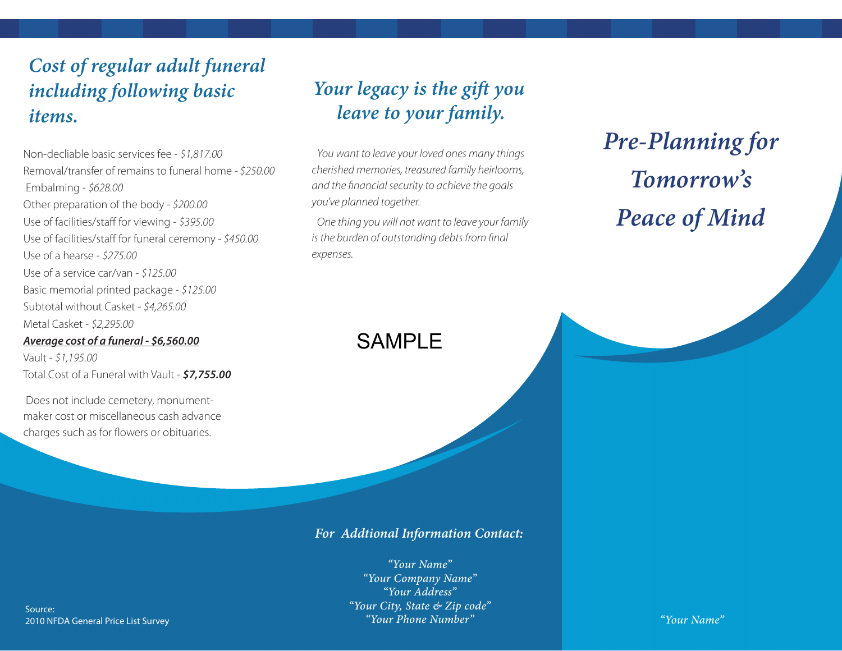### *Cost of regular adult funeral including following basic items.*

Non-decliable basic services fee - *\$1,817.00* Removal/transfer of remains to funeral home - *\$250.00* Embalming - *\$628.00* Other preparation of the body - *\$200.00* Use of facilities/staff for viewing - \$395.00 Use of facilities/staff for funeral ceremony - \$450.00 Use of a hearse - *\$275.00* Use of a service car/van - *\$125.00* Basic memorial printed package - *\$125.00* Subtotal without Casket - *\$4,265.00* Metal Casket - *\$2,295.00*

### *Average cost of a funeral - \$6,560.00*

Vault - *\$1,195.00* Total Cost of a Funeral with Vault - *\$7,755.00*

 Does not include cemetery, monumentmaker cost or miscellaneous cash advance charges such as for flowers or obituaries.

# *Your legacy is the gift you leave to your family.*

*You want to leave your loved ones many things cherished memories, treasured family heirlooms, and the nancial security to achieve the goals you've planned together.*

*One thing you will not want to leave your family is the burden of outstanding debts from final expenses.*

# *Pre-Planning for Tomorrow's Peace of Mind*

## SAMPLE

*For Addtional Information Contact:*

*"Your Name" "Your Company Name" "Your Address" "Your City, State & Zip code" "Your Phone Number" "Your Name"*